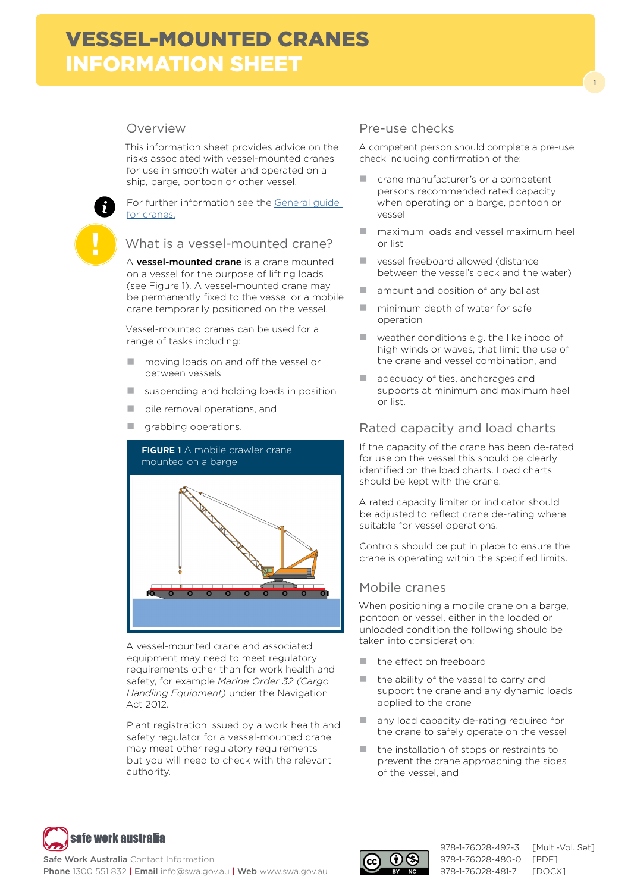# Overview

This information sheet provides advice on the risks associated with vessel-mounted cranes for use in smooth water and operated on a ship, barge, pontoon or other vessel.

For further information see the [General guide](http://www.safeworkaustralia.gov.au/sites/swa/about/publications/pages/guidance-cranes)  [for cranes.](http://www.safeworkaustralia.gov.au/sites/swa/about/publications/pages/guidance-cranes)

#### What is a vessel-mounted crane?

A **vessel-mounted crane** is a crane mounted on a vessel for the purpose of lifting loads (see Figure 1). A vessel-mounted crane may be permanently fixed to the vessel or a mobile crane temporarily positioned on the vessel.

Vessel-mounted cranes can be used for a range of tasks including:

- **n** moving loads on and off the vessel or between vessels
- $\blacksquare$  suspending and holding loads in position
- pile removal operations, and
- $\blacksquare$  grabbing operations.



A vessel-mounted crane and associated equipment may need to meet regulatory requirements other than for work health and safety, for example *Marine Order 32 (Cargo Handling Equipment)* under the Navigation Act 2012.

Plant registration issued by a work health and safety regulator for a vessel-mounted crane may meet other regulatory requirements but you will need to check with the relevant authority.

### Pre-use checks

A competent person should complete a pre-use check including confirmation of the:

1

- crane manufacturer's or a competent persons recommended rated capacity when operating on a barge, pontoon or vessel
- **n** maximum loads and vessel maximum heel or list
- vessel freeboard allowed (distance between the vessel's deck and the water)
- $\blacksquare$  amount and position of any ballast
- $\blacksquare$  minimum depth of water for safe operation
- **Weather conditions e.g. the likelihood of** high winds or waves, that limit the use of the crane and vessel combination, and
- adequacy of ties, anchorages and supports at minimum and maximum heel or list.

### Rated capacity and load charts

If the capacity of the crane has been de-rated for use on the vessel this should be clearly identified on the load charts. Load charts should be kept with the crane.

A rated capacity limiter or indicator should be adjusted to reflect crane de-rating where suitable for vessel operations.

Controls should be put in place to ensure the crane is operating within the specified limits.

### Mobile cranes

When positioning a mobile crane on a barge, pontoon or vessel, either in the loaded or unloaded condition the following should be taken into consideration:

- the effect on freeboard
- $\blacksquare$  the ability of the vessel to carry and support the crane and any dynamic loads applied to the crane
- any load capacity de-rating required for the crane to safely operate on the vessel
- the installation of stops or restraints to prevent the crane approaching the sides of the vessel, and



Safe Work Australia Contact Information Phone 1300 551 832 | Email info@swa.gov.au | Web www.swa.gov.au



978-1-76028-480-0 [PDF] 978-1-76028-481-7 [DOCX]